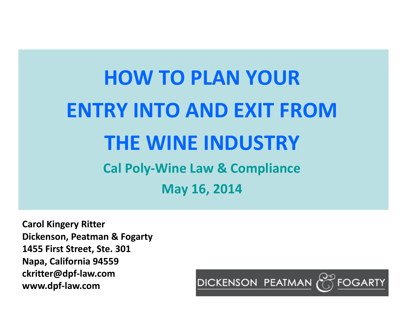# **HOW TO PLAN YOUR ENTRY INTO AND EXIT FROMTHE WINE INDUSTRYCal Poly‐Wine Law & Compliance May 16, 2014**

**Carol Kingery Ritter Dickenson, Peatman & Fogarty 1455 First Street, Ste. 301 Napa, California 94559 ckritter@dpf‐law.com www.dpf‐law.com**

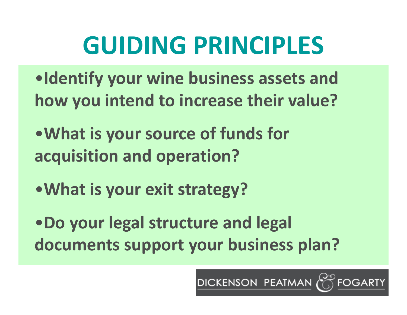# **GUIDING PRINCIPLES**

•**Identify your wine business assets and how you intend to increase their value?**

•**What is your source of funds for acquisition and operation?**

•**What is your exit strategy?**

•**Do your legal structure and legal documents support your business plan?**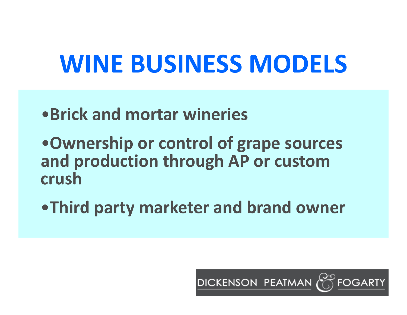# **WINE BUSINESS MODELS**

- •**Brick and mortar wineries**
- •**Ownership or control of grape sources and production through AP or custom crush**
- •**Third party marketer and brand owner**

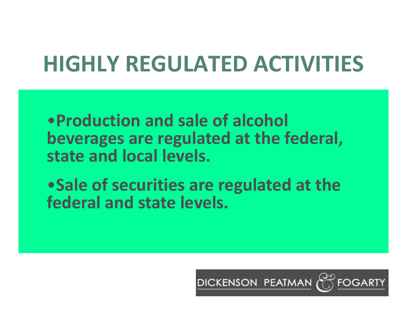# **HIGHLY REGULATED ACTIVITIES**

•**Production and sale of alcohol beverages are regulated at the federal, state and local levels.**

•**Sale of securities are regulated at the federal and state levels.**

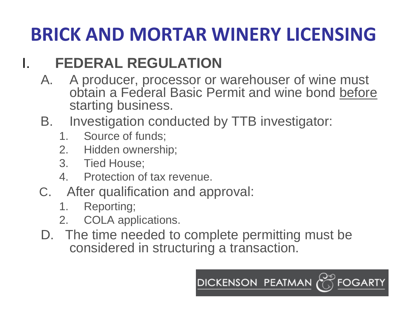### **BRICK AND MORTAR WINERY LICENSING**

### **FEDERAL REGULATION**

- A. A producer, processor or warehouser of wine must obtain a Federal Basic Permit and wine bond before starting business.
- B. Investigation conducted by TTB investigator:
	- 1. Source of funds;
	- 2. Hidden ownership;
	- 3. Tied House;

I.

- 4. Protection of tax revenue.
- C. After qualification and approval:
	- 1.Reporting;
	- 2.COLA applications.
- D. The time needed to complete permitting must be considered in structuring a transaction.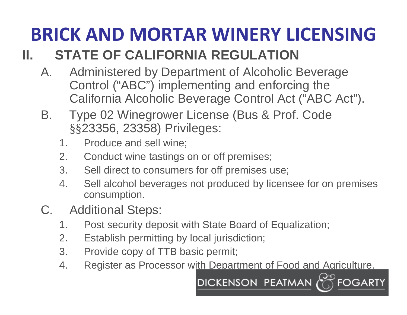# **BRICK AND MORTAR WINERY LICENSING**

#### **II.STATE OF CALIFORNIA REGULATION**

- A. Administered by Department of Alcoholic Beverage Control ("ABC") implementing and enforcing the California Alcoholic Beverage Control Act ("ABC Act").
- B. Type 02 Winegrower License (Bus & Prof. Code §§23356, 23358) Privileges:
	- 1.Produce and sell wine;
	- 2.Conduct wine tastings on or off premises;
	- 3. Sell direct to consumers for off premises use;
	- 4. Sell alcohol beverages not produced by licensee for on premises consumption.
- C. Additional Steps:
	- 1.Post security deposit with State Board of Equalization;
	- 2.Establish permitting by local jurisdiction;
	- 3. Provide copy of TTB basic permit;
	- 4.Register as Processor with Department of Food and Agriculture.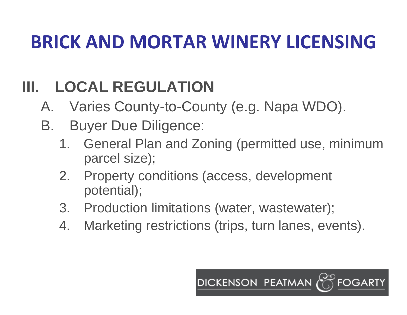### **BRICK AND MORTAR WINERY LICENSING**

### **III.LOCAL REGULATION**

- A.Varies County-to-County (e.g. Napa WDO).
- B. Buyer Due Diligence:
	- 1. General Plan and Zoning (permitted use, minimum parcel size);
	- 2. Property conditions (access, development potential);
	- 3. Production limitations (water, wastewater);
	- 4.Marketing restrictions (trips, turn lanes, events).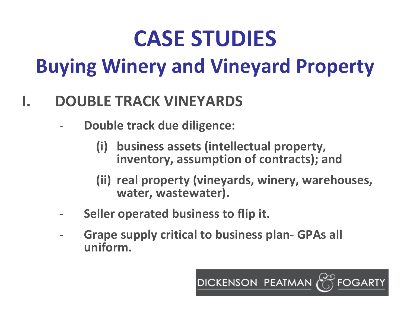# **CASE STUDIES Buying Winery and Vineyard Property**

#### **I.DOUBLE TRACK VINEYARDS**

- ‐ **Double track due diligence:**
	- **(i) business assets (intellectual property, inventory, assumption of contracts); and**
	- **(ii) real property (vineyards, winery, warehouses, water, wastewater).**

- ‐**Seller operated business to flip it.**
- ‐ **Grape supply critical to business plan‐ GPAs all uniform.**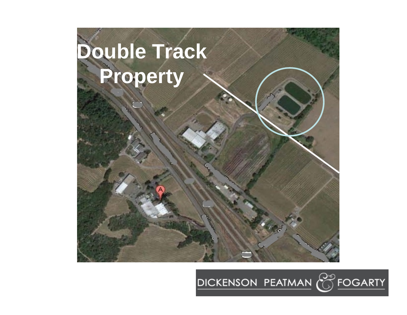

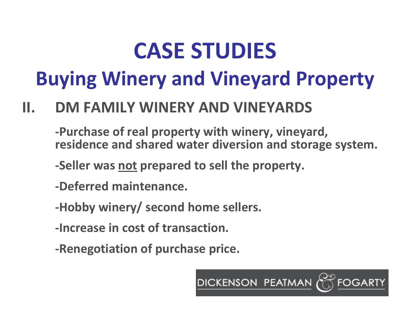# **CASE STUDIES**

## **Buying Winery and Vineyard Property**

#### **II.DM FAMILY WINERY AND VINEYARDS**

**‐Purchase of real property with winery, vineyard, residence and shared water diversion and storage system.**

**DICKENSON PEATMAN** 

**‐Seller was not prepared to sell the property.**

- **‐Deferred maintenance.**
- **‐Hobby winery/ second home sellers.**
- **‐Increase in cost of transaction.**
- **‐Renegotiation of purchase price.**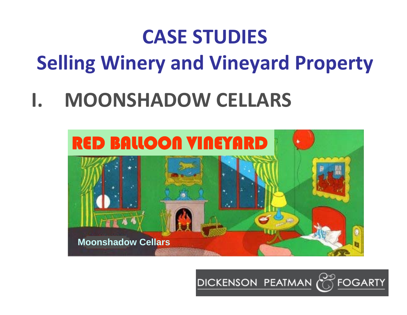# **CASE STUDIES Selling Winery and Vineyard Property**

### **I.MOONSHADOW CELLARS**



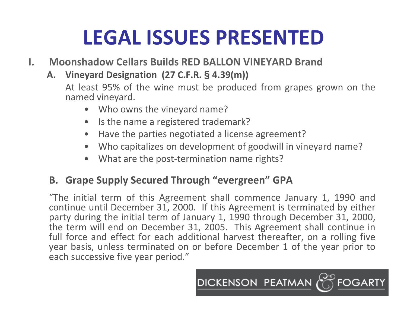## **LEGAL ISSUES PRESENTED**

- **I. Moonshadow Cellars Builds RED BALLON VINEYARD Brand**
	- **A. Vineyard Designation (27 C.F.R. § 4.39(m))**

At least 95% of the wine must be produced from grapes grown on the named vineyard.

- Who owns the vineyard name?
- •Is the name <sup>a</sup> registered trademark?
- •Have the parties negotiated <sup>a</sup> license agreement?
- $\bullet$ Who capitalizes on development of goodwill in vineyard name?
- •What are the post-termination name rights?

### **B. Grape Supply Secured Through "evergreen" GPA**

"The initial term of this Agreement shall commence January 1, 1990 and continue until December 31, 2000. If this Agreement is terminated by either party during the initial term of January 1, 1990 through December 31, 2000, the term will end on December 31, 2005. This Agreement shall continue in full force and effect for each additional harvest thereafter, on <sup>a</sup> rolling five year basis, unless terminated on or before December 1 of the year prior to each successive five year period."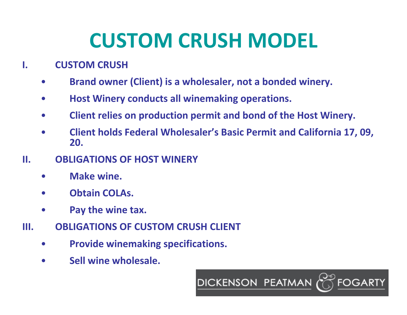## **CUSTOM CRUSH MODEL**

#### **I.CUSTOM CRUSH**

- •**Brand owner (Client) is <sup>a</sup> wholesaler, not <sup>a</sup> bonded winery.**
- •**Host Winery conducts all winemaking operations.**
- •**Client relies on production permit and bond of the Host Winery.**
- • **Client holds Federal Wholesaler's Basic Permit and California 17, 09, 20.**

- **II. OBLIGATIONS OF HOST WINERY**
	- •**Make wine.**
	- •**Obtain COLAs.**
	- •**Pay the wine tax.**
- **III. OBLIGATIONS OF CUSTOM CRUSH CLIENT**
	- $\bullet$ **Provide winemaking specifications.**
	- •**Sell wine wholesale.**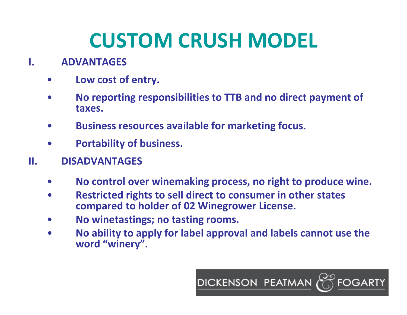## **CUSTOM CRUSH MODEL**

#### **I.ADVANTAGES**

- •**Low cost of entry.**
- • **No reporting responsibilities to TTB and no direct payment of taxes.**
- •**Business resources available for marketing focus.**
- $\bullet$ **Portability of business.**
- **II. DISADVANTAGES**
	- •**No control over winemaking process, no right to produce wine.**
	- $\bullet$  **Restricted rights to sell direct to consumer in other states compared to holder of 02 Winegrower License.**
	- •**No winetastings; no tasting rooms.**
	- $\bullet$  **No ability to apply for label approval and labels cannot use the word "winery".**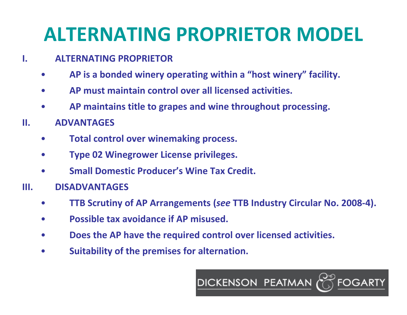### **ALTERNATING PROPRIETOR MODEL**

#### **I.ALTERNATING PROPRIETOR**

- •**AP is <sup>a</sup> bonded winery operating within <sup>a</sup> "host winery" facility.**
- •**AP must maintain control over all licensed activities.**
- •**AP maintains title to grapes and wine throughout processing.**
- **II. ADVANTAGES**
	- •**Total control over winemaking process.**
	- •**Type 02 Winegrower License privileges.**
	- •**Small Domestic Producer's Wine Tax Credit.**
- **III. DISADVANTAGES**
	- •**TTB Scrutiny of AP Arrangements (***see* **TTB Industry Circular No. 2008‐4).**
	- •**Possible tax avoidance if AP misused.**
	- •**Does the AP have the required control over licensed activities.**
	- •**Suitability of the premises for alternation.**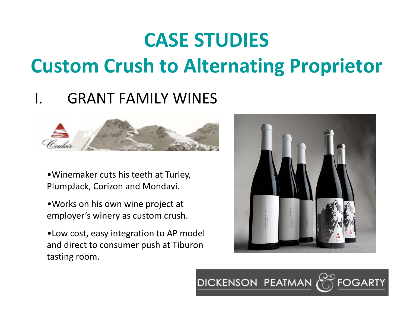# **CASE STUDIES Custom Crush to Alternating Proprietor**

### I. GRANT FAMILY WINES



•Winemaker cuts his teeth at Turley, PlumpJack, Corizon and Mondavi.

•Works on his own wine project at employer's winery as custom crush.

•Low cost, easy integration to AP model and direct to consumer push at Tiburon tasting room.

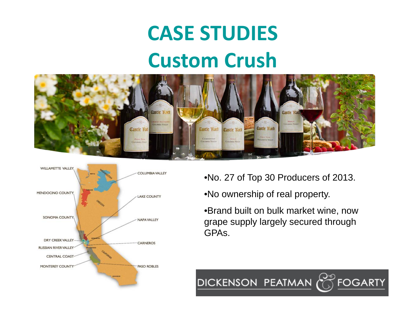# **CASE STUDIES Custom Crush**





•No. 27 of Top 30 Producers of 2013.

•No ownership of real property.

DICKENSON PEATMAN

•Brand built on bulk market wine, now grape supply largely secured through GPAs.

**FOGARTY**